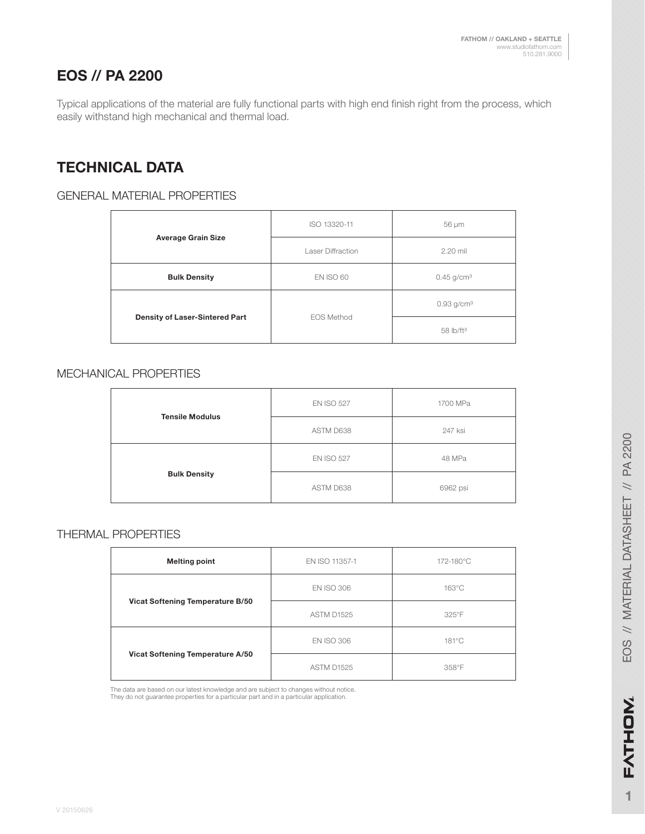# **EOS // PA 2200**

Typical applications of the material are fully functional parts with high end finish right from the process, which easily withstand high mechanical and thermal load.

# **TECHNICAL DATA**

### GENERAL MATERIAL PROPERTIES

|                                       | ISO 13320-11             | 56 µm                    |
|---------------------------------------|--------------------------|--------------------------|
| <b>Average Grain Size</b>             | <b>Laser Diffraction</b> | 2.20 mil                 |
| <b>Bulk Density</b>                   | <b>EN ISO 60</b>         | $0.45$ g/cm <sup>3</sup> |
| <b>Density of Laser-Sintered Part</b> | <b>EOS Method</b>        | $0.93$ g/cm <sup>3</sup> |
|                                       |                          | 58 lb/ft <sup>3</sup>    |

#### MECHANICAL PROPERTIES

| <b>Tensile Modulus</b> | <b>EN ISO 527</b> | 1700 MPa |
|------------------------|-------------------|----------|
|                        | ASTM D638         | 247 ksi  |
| <b>Bulk Density</b>    | <b>EN ISO 527</b> | 48 MPa   |
|                        | ASTM D638         | 6962 psi |

#### THERMAL PROPERTIES

| <b>Melting point</b>             | EN ISO 11357-1    | 172-180°C |
|----------------------------------|-------------------|-----------|
| Vicat Softening Temperature B/50 | <b>EN ISO 306</b> | 163°C     |
|                                  | ASTM D1525        | 325°F     |
| Vicat Softening Temperature A/50 | <b>EN ISO 306</b> | 181°C     |
|                                  | <b>ASTM D1525</b> | 358°F     |

The data are based on our latest knowledge and are subject to changes without notice. They do not guarantee properties for a particular part and in a particular application.